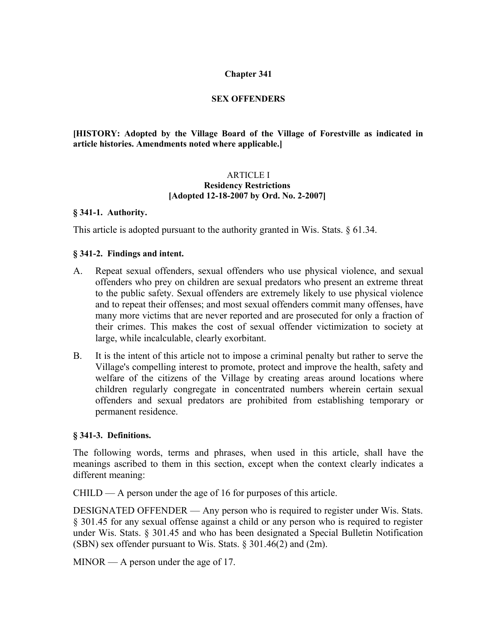## **Chapter 341**

## **SEX OFFENDERS**

**[HISTORY: Adopted by the Village Board of the Village of Forestville as indicated in article histories. Amendments noted where applicable.]**

#### ARTICLE I **Residency Restrictions [Adopted 12-18-2007 by Ord. No. 2-2007]**

#### **§ 341-1. Authority.**

This article is adopted pursuant to the authority granted in Wis. Stats. § 61.34.

## **§ 341-2. Findings and intent.**

- A. Repeat sexual offenders, sexual offenders who use physical violence, and sexual offenders who prey on children are sexual predators who present an extreme threat to the public safety. Sexual offenders are extremely likely to use physical violence and to repeat their offenses; and most sexual offenders commit many offenses, have many more victims that are never reported and are prosecuted for only a fraction of their crimes. This makes the cost of sexual offender victimization to society at large, while incalculable, clearly exorbitant.
- B. It is the intent of this article not to impose a criminal penalty but rather to serve the Village's compelling interest to promote, protect and improve the health, safety and welfare of the citizens of the Village by creating areas around locations where children regularly congregate in concentrated numbers wherein certain sexual offenders and sexual predators are prohibited from establishing temporary or permanent residence.

#### **§ 341-3. Definitions.**

The following words, terms and phrases, when used in this article, shall have the meanings ascribed to them in this section, except when the context clearly indicates a different meaning:

 $CHILD - A$  person under the age of 16 for purposes of this article.

DESIGNATED OFFENDER — Any person who is required to register under Wis. Stats. § 301.45 for any sexual offense against a child or any person who is required to register under Wis. Stats. § 301.45 and who has been designated a Special Bulletin Notification (SBN) sex offender pursuant to Wis. Stats. § 301.46(2) and (2m).

MINOR — A person under the age of 17.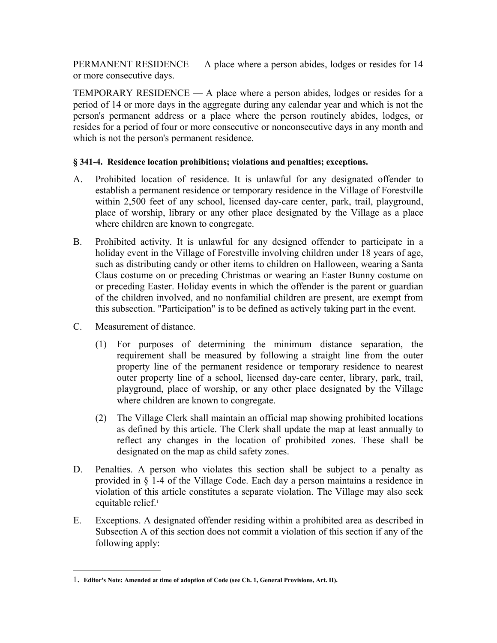PERMANENT RESIDENCE — A place where a person abides, lodges or resides for 14 or more consecutive days.

TEMPORARY RESIDENCE  $- A$  place where a person abides, lodges or resides for a period of 14 or more days in the aggregate during any calendar year and which is not the person's permanent address or a place where the person routinely abides, lodges, or resides for a period of four or more consecutive or nonconsecutive days in any month and which is not the person's permanent residence.

# **§ 341-4. Residence location prohibitions; violations and penalties; exceptions.**

- A. Prohibited location of residence. It is unlawful for any designated offender to establish a permanent residence or temporary residence in the Village of Forestville within 2,500 feet of any school, licensed day-care center, park, trail, playground, place of worship, library or any other place designated by the Village as a place where children are known to congregate.
- B. Prohibited activity. It is unlawful for any designed offender to participate in a holiday event in the Village of Forestville involving children under 18 years of age, such as distributing candy or other items to children on Halloween, wearing a Santa Claus costume on or preceding Christmas or wearing an Easter Bunny costume on or preceding Easter. Holiday events in which the offender is the parent or guardian of the children involved, and no nonfamilial children are present, are exempt from this subsection. "Participation" is to be defined as actively taking part in the event.
- C. Measurement of distance.
	- (1) For purposes of determining the minimum distance separation, the requirement shall be measured by following a straight line from the outer property line of the permanent residence or temporary residence to nearest outer property line of a school, licensed day-care center, library, park, trail, playground, place of worship, or any other place designated by the Village where children are known to congregate.
	- (2) The Village Clerk shall maintain an official map showing prohibited locations as defined by this article. The Clerk shall update the map at least annually to reflect any changes in the location of prohibited zones. These shall be designated on the map as child safety zones.
- D. Penalties. A person who violates this section shall be subject to a penalty as provided in § 1-4 of the Village Code. Each day a person maintains a residence in violation of this article constitutes a separate violation. The Village may also seek equitable relief.<sup>[1](#page-1-0)</sup>
- E. Exceptions. A designated offender residing within a prohibited area as described in Subsection A of this section does not commit a violation of this section if any of the following apply:

<span id="page-1-0"></span><sup>1</sup>. **Editor's Note: Amended at time of adoption of Code (see Ch. 1, General Provisions, Art. II).**